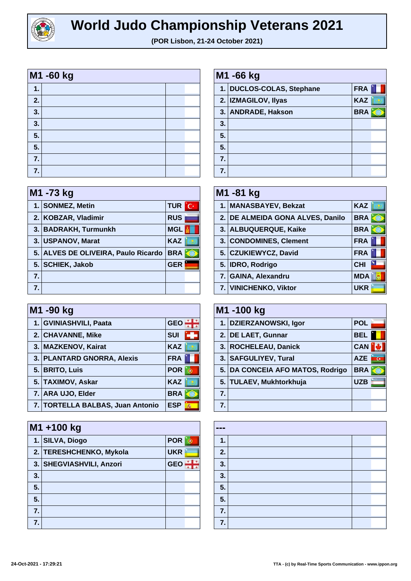

| M1 -60 kg |  |  |  |
|-----------|--|--|--|
| 1.        |  |  |  |
| 2.        |  |  |  |
| 3.        |  |  |  |
| 3.        |  |  |  |
| 5.        |  |  |  |
| 5.        |  |  |  |
| 7.        |  |  |  |
| 7.        |  |  |  |

| M1 -73 kg |                                     |              |  |
|-----------|-------------------------------------|--------------|--|
|           | 1. SONMEZ, Metin                    | <b>TUR</b> C |  |
|           | 2. KOBZAR, Vladimir                 | <b>RUS</b>   |  |
|           | 3. BADRAKH, Turmunkh                | <b>MGL</b>   |  |
|           | 3. USPANOV, Marat                   | <b>KAZ</b>   |  |
|           | 5. ALVES DE OLIVEIRA, Paulo Ricardo | <b>BRA</b>   |  |
|           | 5. SCHIEK, Jakob                    | <b>GER</b>   |  |
| 7.        |                                     |              |  |
|           |                                     |              |  |

| M1 -90 kg |                                  |                 |  |
|-----------|----------------------------------|-----------------|--|
|           | 1. GVINIASHVILI, Paata           | <b>GEO</b>      |  |
|           | 2. CHAVANNE, Mike                | <b>SUI</b>      |  |
|           | 3. MAZKENOV, Kairat              | <b>KAZ</b>      |  |
|           | 3. PLANTARD GNORRA, Alexis       | <b>FRA</b>      |  |
|           | 5. BRITO, Luis                   | <b>POR</b>      |  |
|           | 5. TAXIMOV, Askar                | <b>KAZ</b>      |  |
|           | 7. ARA UJO, Elder                | <b>BRA</b>      |  |
|           | 7. TORTELLA BALBAS, Juan Antonio | <b>ESP</b><br>燕 |  |

|    | M1+100 kg                |            |  |  |
|----|--------------------------|------------|--|--|
|    | 1. SILVA, Diogo          | <b>POR</b> |  |  |
|    | 2. TERESHCHENKO, Mykola  | <b>UKR</b> |  |  |
|    | 3. SHEGVIASHVILI, Anzori | <b>GEO</b> |  |  |
| 3. |                          |            |  |  |
| 5. |                          |            |  |  |
| 5. |                          |            |  |  |
| 7. |                          |            |  |  |
| 7. |                          |            |  |  |

| M1 -66 kg      |                           |            |  |
|----------------|---------------------------|------------|--|
|                | 1. DUCLOS-COLAS, Stephane | <b>FRA</b> |  |
|                | 2. IZMAGILOV, Ilyas       | <b>KAZ</b> |  |
|                | 3. ANDRADE, Hakson        | <b>BRA</b> |  |
| 3.             |                           |            |  |
| 5.             |                           |            |  |
| 5.             |                           |            |  |
| 7 <sub>1</sub> |                           |            |  |
| 7.             |                           |            |  |

| M1 -81 kg |                                  |                            |  |
|-----------|----------------------------------|----------------------------|--|
|           | 1. MANASBAYEV, Bekzat            | <b>KAZ</b>                 |  |
|           | 2. DE ALMEIDA GONA ALVES, Danilo | <b>BRA</b>                 |  |
|           | 3. ALBUQUERQUE, Kaike            | <b>BRA</b>                 |  |
|           | 3. CONDOMINES, Clement           | <b>FRA</b>                 |  |
|           | 5. CZUKIEWYCZ, David             | <b>FRA</b>                 |  |
|           | 5. IDRO, Rodrigo                 | $\mathbf{w}$<br><b>CHI</b> |  |
|           | 7. GAINA, Alexandru              | <b>MDA</b>                 |  |
|           | 7. VINICHENKO, Viktor            | <b>UKR</b>                 |  |

| M1 -100 kg       |                                  |            |  |
|------------------|----------------------------------|------------|--|
|                  | 1. DZIERZANOWSKI, Igor           | <b>POL</b> |  |
|                  | 2. DE LAET, Gunnar               | <b>BEL</b> |  |
|                  | 3. ROCHELEAU, Danick             | <b>CAN</b> |  |
|                  | 3.   SAFGULIYEV, Tural           | <b>AZE</b> |  |
|                  | 5. DA CONCEIA AFO MATOS, Rodrigo | <b>BRA</b> |  |
|                  | 5. TULAEV, Mukhtorkhuja          | <b>UZB</b> |  |
| $\overline{7}$ . |                                  |            |  |
|                  |                                  |            |  |

| --- |  |  |
|-----|--|--|
| 1.  |  |  |
| 2.  |  |  |
| 3.  |  |  |
| 3.  |  |  |
| 5.  |  |  |
| 5.  |  |  |
| 7.  |  |  |
| 7.  |  |  |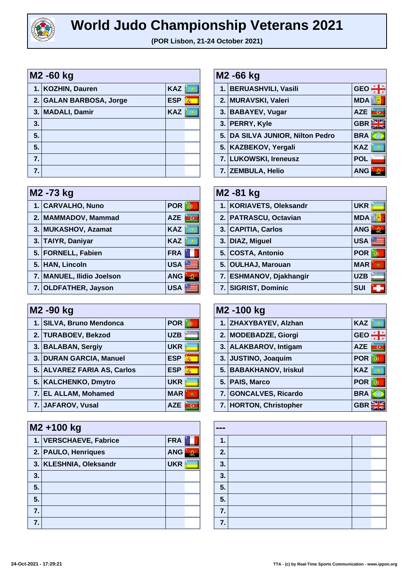

| M <sub>2</sub> -60 kg |                         |            |   |
|-----------------------|-------------------------|------------|---|
|                       | 1. KOZHIN, Dauren       | <b>KAZ</b> |   |
|                       | 2. GALAN BARBOSA, Jorge | <b>ESP</b> | 燕 |
|                       | 3. MADALI, Damir        | <b>KAZ</b> |   |
| 3.                    |                         |            |   |
| 5.                    |                         |            |   |
| 5.                    |                         |            |   |
| 7.                    |                         |            |   |
| 7.                    |                         |            |   |

| M2 -73 kg |                           |            |  |  |
|-----------|---------------------------|------------|--|--|
|           | 1. CARVALHO, Nuno         | <b>POR</b> |  |  |
|           | 2. MAMMADOV, Mammad       | <b>AZE</b> |  |  |
|           | 3. MUKASHOV, Azamat       | <b>KAZ</b> |  |  |
|           | 3. TAIYR, Daniyar         | <b>KAZ</b> |  |  |
|           | 5. FORNELL, Fabien        | <b>FRA</b> |  |  |
|           | 5. HAN, Lincoln           | <b>USA</b> |  |  |
|           | 7. MANUEL, Ilidio Joelson | <b>ANG</b> |  |  |
|           | 7. OLDFATHER, Jayson      | <b>USA</b> |  |  |

| M <sub>2</sub> -90 kg |                             |                 |  |
|-----------------------|-----------------------------|-----------------|--|
|                       | 1. SILVA, Bruno Mendonca    | <b>POR</b>      |  |
|                       | 2. TURABOEV, Bekzod         | <b>UZB</b>      |  |
|                       | 3. BALABAN, Sergiy          | <b>UKR</b>      |  |
|                       | 3. DURAN GARCIA, Manuel     | <b>ESP</b><br>燕 |  |
|                       | 5. ALVAREZ FARIA AS, Carlos | <b>ESP</b><br>燕 |  |
|                       | 5. KALCHENKO, Dmytro        | <b>UKR</b>      |  |
|                       | 7. EL ALLAM, Mohamed        | <b>MAR</b>      |  |
|                       | 7. JAFAROV, Vusal           | <b>AZE</b>      |  |

| M2+100 kg |                        |            |  |
|-----------|------------------------|------------|--|
|           | 1. VERSCHAEVE, Fabrice | <b>FRA</b> |  |
|           | 2. PAULO, Henriques    | <b>ANG</b> |  |
|           | 3. KLESHNIA, Oleksandr | <b>UKR</b> |  |
| 3.        |                        |            |  |
| 5.        |                        |            |  |
| 5.        |                        |            |  |
| 7.        |                        |            |  |
| 7.        |                        |            |  |

| M2 -66 kg |                                  |            |
|-----------|----------------------------------|------------|
|           | 1. BERUASHVILI, Vasili           | <b>GEO</b> |
|           | 2. MURAVSKI, Valeri              | <b>MDA</b> |
|           | 3. BABAYEV, Vugar                | <b>AZE</b> |
|           | 3. PERRY, Kyle                   | <b>GBR</b> |
|           | 5. DA SILVA JUNIOR, Nilton Pedro | <b>BRA</b> |
|           | 5. KAZBEKOV, Yergali             | <b>KAZ</b> |
|           | 7. LUKOWSKI, Ireneusz            | <b>POL</b> |
|           | 7. ZEMBULA, Helio                | <b>ANG</b> |

| M <sub>2</sub> - 81 kg  |                 |  |  |
|-------------------------|-----------------|--|--|
| 1. KORIAVETS, Oleksandr | <b>UKR</b>      |  |  |
| 2. PATRASCU, Octavian   | <b>MDA</b>      |  |  |
| 3. CAPITIA, Carlos      | <b>ANG</b>      |  |  |
| 3. DIAZ, Miguel         | <b>USA</b>      |  |  |
| 5. COSTA, Antonio       | <b>POR</b>      |  |  |
| 5. OULHAJ, Marouan      | <b>MAR</b><br>ŵ |  |  |
| 7. ESHMANOV, Djakhangir | <b>UZB</b>      |  |  |
| 7. SIGRIST, Dominic     | <b>SUI</b>      |  |  |

| M <sub>2</sub> -100 kg |                        |                 |
|------------------------|------------------------|-----------------|
|                        | 1. ZHAXYBAYEV, Alzhan  | <b>KAZ</b>      |
|                        | 2. MODEBADZE, Giorgi   | <b>GEO</b>      |
|                        | 3. ALAKBAROV, Intigam  | <b>AZE</b><br>ে |
|                        | 3. JUSTINO, Joaquim    | <b>POR</b>      |
|                        | 5. BABAKHANOV, Iriskul | <b>KAZ</b>      |
|                        | 5. PAIS, Marco         | <b>POR</b>      |
|                        | 7. GONCALVES, Ricardo  | <b>BRA</b>      |
|                        | 7. HORTON, Christopher | <b>GBR</b>      |

| --- |  |  |
|-----|--|--|
| 1.  |  |  |
| 2.  |  |  |
| 3.  |  |  |
| 3.  |  |  |
| 5.  |  |  |
| 5.  |  |  |
| 7.  |  |  |
| 7.  |  |  |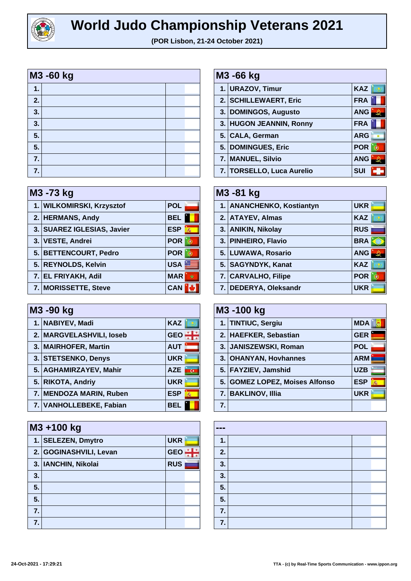

| M3 -60 kg |  |  |  |
|-----------|--|--|--|
| 1.        |  |  |  |
| 2.        |  |  |  |
| 3.        |  |  |  |
| 3.        |  |  |  |
| 5.        |  |  |  |
| 5.        |  |  |  |
| 7.        |  |  |  |
| 7.        |  |  |  |

| M3 -73 kg |                            |                 |  |
|-----------|----------------------------|-----------------|--|
|           | 1. WILKOMIRSKI, Krzysztof  | <b>POL</b>      |  |
|           | 2. HERMANS, Andy           | <b>BEL</b>      |  |
|           | 3. SUAREZ IGLESIAS, Javier | <b>ESP</b><br>燕 |  |
|           | 3. VESTE, Andrei           | <b>POR</b>      |  |
|           | 5. BETTENCOURT, Pedro      | <b>POR</b>      |  |
|           | 5. REYNOLDS, Kelvin        | <b>USA</b>      |  |
|           | 7. EL FRIYAKH, Adil        | <b>MAR</b>      |  |
|           | 7. MORISSETTE, Steve       | <b>CAN</b>      |  |

| M3 -90 kg |                          |                              |  |
|-----------|--------------------------|------------------------------|--|
|           | 1. NABIYEV, Madi         | <b>KAZ</b>                   |  |
|           | 2. MARGVELASHVILI, loseb | <b>GEO</b>                   |  |
|           | 3.   MAIRHOFER, Martin   | <b>AUT</b>                   |  |
|           | 3. STETSENKO, Denys      | <b>UKR</b>                   |  |
|           | 5. AGHAMIRZAYEV, Mahir   | <b>AZE</b><br>$\overline{G}$ |  |
|           | 5. RIKOTA, Andriy        | <b>UKR</b>                   |  |
|           | 7. MENDOZA MARIN, Ruben  | <b>ESP</b><br>轟              |  |
|           | 7. VANHOLLEBEKE, Fabian  | <b>BEL</b>                   |  |

|    | M3 +100 kg             |            |  |  |
|----|------------------------|------------|--|--|
|    | 1. SELEZEN, Dmytro     | <b>UKR</b> |  |  |
|    | 2. GOGINASHVILI, Levan | <b>GEO</b> |  |  |
|    | 3. IANCHIN, Nikolai    | <b>RUS</b> |  |  |
| 3. |                        |            |  |  |
| 5. |                        |            |  |  |
| 5. |                        |            |  |  |
| 7. |                        |            |  |  |
| 7. |                        |            |  |  |

| M3 -66 kg |                           |            |
|-----------|---------------------------|------------|
|           | 1. URAZOV, Timur          | <b>KAZ</b> |
|           | 2. SCHILLEWAERT, Eric     | <b>FRA</b> |
|           | 3. DOMINGOS, Augusto      | <b>ANG</b> |
|           | 3. HUGON JEANNIN, Ronny   | <b>FRA</b> |
|           | 5. CALA, German           | <b>ARG</b> |
|           | 5. DOMINGUES, Eric        | <b>POR</b> |
|           | 7. MANUEL, Silvio         | <b>ANG</b> |
|           | 7. TORSELLO, Luca Aurelio | <b>SUI</b> |

| M3-81 kg |                           |            |
|----------|---------------------------|------------|
|          | 1. ANANCHENKO, Kostiantyn | <b>UKR</b> |
|          | 2. ATAYEV, Almas          | <b>KAZ</b> |
|          | 3. ANIKIN, Nikolay        | <b>RUS</b> |
|          | 3. PINHEIRO, Flavio       | <b>BRA</b> |
|          | 5. LUWAWA, Rosario        | <b>ANG</b> |
|          | 5. SAGYNDYK, Kanat        | <b>KAZ</b> |
|          | 7. CARVALHO, Filipe       | <b>POR</b> |
|          | 7. DEDERYA, Oleksandr     | <b>UKR</b> |

| M3-100 kg |                                |            |   |
|-----------|--------------------------------|------------|---|
|           | 1. TINTIUC, Sergiu             | <b>MDA</b> |   |
|           | 2. HAEFKER, Sebastian          | <b>GER</b> |   |
|           | 3. JANISZEWSKI, Roman          | <b>POL</b> |   |
|           | 3. OHANYAN, Hovhannes          | <b>ARM</b> |   |
|           | 5. FAYZIEV, Jamshid            | <b>UZB</b> |   |
|           | 5. GOMEZ LOPEZ, Moises Alfonso | <b>ESP</b> | 燕 |
|           | 7. BAKLINOV, Illia             | <b>UKR</b> |   |
| 7.        |                                |            |   |

| --- |  |  |
|-----|--|--|
| 1.  |  |  |
| 2.  |  |  |
| 3.  |  |  |
| 3.  |  |  |
| 5.  |  |  |
| 5.  |  |  |
| 7.  |  |  |
| 7.  |  |  |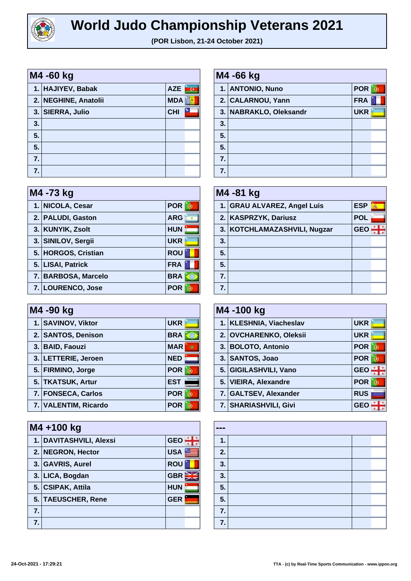

| M4 -60 kg |                      |            |                         |
|-----------|----------------------|------------|-------------------------|
|           | 1. HAJIYEV, Babak    | <b>AZE</b> | $\overline{\mathbf{G}}$ |
|           | 2. NEGHINE, Anatolii | <b>MDA</b> |                         |
|           | 3. SIERRA, Julio     | <b>CHI</b> | ×                       |
| 3.        |                      |            |                         |
| 5.        |                      |            |                         |
| 5.        |                      |            |                         |
| 7.        |                      |            |                         |
| 7.        |                      |            |                         |

| M4 -73 kg |                     |            |
|-----------|---------------------|------------|
|           | 1. NICOLA, Cesar    | <b>POR</b> |
|           | 2. PALUDI, Gaston   | <b>ARG</b> |
|           | 3. KUNYIK, Zsolt    | <b>HUN</b> |
|           | 3. SINILOV, Sergii  | <b>UKR</b> |
|           | 5. HORGOS, Cristian | <b>ROU</b> |
|           | 5. LISAI, Patrick   | <b>FRA</b> |
|           | 7. BARBOSA, Marcelo | <b>BRA</b> |
|           | 7. LOURENCO, Jose   | <b>POR</b> |

| M4 -90 kg |                      |            |
|-----------|----------------------|------------|
|           | 1. SAVINOV, Viktor   | <b>UKR</b> |
|           | 2. SANTOS, Denison   | <b>BRA</b> |
|           | 3. BAID, Faouzi      | <b>MAR</b> |
|           | 3. LETTERIE, Jeroen  | <b>NED</b> |
|           | 5. FIRMINO, Jorge    | <b>POR</b> |
|           | 5. TKATSUK, Artur    | <b>EST</b> |
|           | 7. FONSECA, Carlos   | <b>POR</b> |
|           | 7. VALENTIM, Ricardo | <b>POR</b> |

|    | M4+100 kg               |            |  |
|----|-------------------------|------------|--|
|    | 1. DAVITASHVILI, Alexsi | <b>GEO</b> |  |
|    | 2. NEGRON, Hector       | <b>USA</b> |  |
|    | 3. GAVRIS, Aurel        | <b>ROU</b> |  |
|    | 3. LICA, Bogdan         | <b>GBR</b> |  |
|    | 5. CSIPAK, Attila       | <b>HUN</b> |  |
|    | 5. TAEUSCHER, Rene      | <b>GER</b> |  |
| 7. |                         |            |  |
| 7. |                         |            |  |

| M4 -66 kg        |                        |            |  |
|------------------|------------------------|------------|--|
|                  | 1. ANTONIO, Nuno       | <b>POR</b> |  |
|                  | 2. CALARNOU, Yann      | <b>FRA</b> |  |
|                  | 3. NABRAKLO, Oleksandr | <b>UKR</b> |  |
| 3.               |                        |            |  |
| 5.               |                        |            |  |
| 5.               |                        |            |  |
| $\overline{7}$ . |                        |            |  |
| 7.               |                        |            |  |

| M4 -81 kg |                              |            |   |
|-----------|------------------------------|------------|---|
|           | 1. GRAU ALVAREZ, Angel Luis  | <b>ESP</b> | 燕 |
|           | 2. KASPRZYK, Dariusz         | <b>POL</b> |   |
|           | 3. KOTCHLAMAZASHVILI, Nugzar | <b>GEO</b> |   |
| 3.        |                              |            |   |
| 5.        |                              |            |   |
| 5.        |                              |            |   |
| 7.        |                              |            |   |
|           |                              |            |   |

| M4 -100 kg |                         |            |
|------------|-------------------------|------------|
|            | 1. KLESHNIA, Viacheslav | <b>UKR</b> |
|            | 2. OVCHARENKO, Oleksii  | <b>UKR</b> |
|            | 3. BOLOTO, Antonio      | <b>POR</b> |
|            | 3. SANTOS, Joao         | <b>POR</b> |
|            | 5. GIGILASHVILI, Vano   | <b>GEO</b> |
|            | 5. VIEIRA, Alexandre    | <b>POR</b> |
|            | 7. GALTSEV, Alexander   | <b>RUS</b> |
|            | 7. SHARIASHVILI, Givi   | GE         |

| --- |  |  |  |
|-----|--|--|--|
| 1.  |  |  |  |
| 2.  |  |  |  |
| 3.  |  |  |  |
| 3.  |  |  |  |
| 5.  |  |  |  |
| 5.  |  |  |  |
| 7.  |  |  |  |
| 7.  |  |  |  |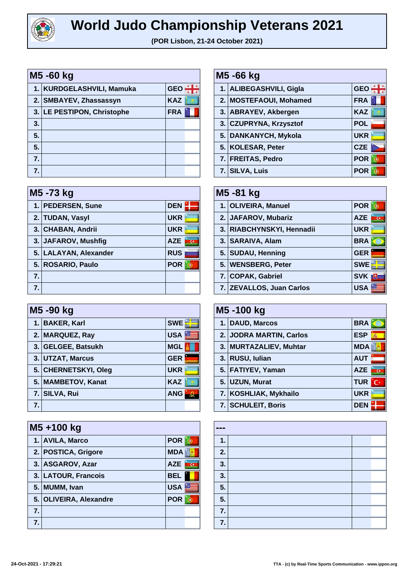

| M5 -60 kg |                            |            |  |
|-----------|----------------------------|------------|--|
|           | 1. KURDGELASHVILI, Mamuka  | <b>GEC</b> |  |
|           | 2. SMBAYEV, Zhassassyn     | <b>KAZ</b> |  |
|           | 3. LE PESTIPON, Christophe | <b>FRA</b> |  |
| 3.        |                            |            |  |
| 5.        |                            |            |  |
| 5.        |                            |            |  |
| 7.        |                            |            |  |
| 7.        |                            |            |  |

|    | M5 -73 kg             |            |  |
|----|-----------------------|------------|--|
|    | 1. PEDERSEN, Sune     | <b>DEN</b> |  |
|    | 2. TUDAN, Vasyl       | <b>UKR</b> |  |
|    | 3. CHABAN, Andrii     | <b>UKR</b> |  |
|    | 3. JAFAROV, Mushfig   | <b>AZE</b> |  |
|    | 5. LALAYAN, Alexander | <b>RUS</b> |  |
|    | 5. ROSARIO, Paulo     | <b>POR</b> |  |
| 7. |                       |            |  |
| 7. |                       |            |  |

| M5 -90 kg |                      |            |
|-----------|----------------------|------------|
| 1.        | <b>BAKER, Karl</b>   | <b>SWE</b> |
|           | 2. MARQUEZ, Ray      | <b>USA</b> |
|           | 3. GELGEE, Batsukh   | <b>MGL</b> |
|           | 3. UTZAT, Marcus     | <b>GER</b> |
|           | 5. CHERNETSKYI, Oleg | <b>UKR</b> |
|           | 5. MAMBETOV, Kanat   | <b>KAZ</b> |
|           | 7. SILVA, Rui        | <b>ANG</b> |
| 7.        |                      |            |

|                  | M5+100 kg              |            |  |
|------------------|------------------------|------------|--|
|                  | 1. AVILA, Marco        | <b>POR</b> |  |
|                  | 2. POSTICA, Grigore    | <b>MDA</b> |  |
|                  | 3. ASGAROV, Azar       | <b>AZE</b> |  |
|                  | 3. LATOUR, Francois    | <b>BEL</b> |  |
|                  | 5. MUMM, Ivan          | <b>USA</b> |  |
|                  | 5. OLIVEIRA, Alexandre | <b>POR</b> |  |
| $\overline{7}$ . |                        |            |  |
| 7.               |                        |            |  |

| M5 -66 kg |                         |            |
|-----------|-------------------------|------------|
|           | 1. ALIBEGASHVILI, Gigla | <b>GEO</b> |
|           | 2. MOSTEFAOUI, Mohamed  | <b>FRA</b> |
|           | 3. ABRAYEV, Akbergen    | <b>KAZ</b> |
|           | 3. CZUPRYNA, Krzysztof  | <b>POL</b> |
|           | 5. DANKANYCH, Mykola    | <b>UKR</b> |
|           | 5. KOLESAR, Peter       | <b>CZE</b> |
|           | 7. FREITAS, Pedro       | <b>POR</b> |
|           | 7. SILVA, Luis          | <b>POR</b> |

| M5-81 kg                  |                  |  |
|---------------------------|------------------|--|
| 1. OLIVEIRA, Manuel       | <b>POR</b>       |  |
| 2. JAFAROV, Mubariz       | <b>AZE</b>       |  |
| 3. RIABCHYNSKYI, Hennadii | <b>UKR</b>       |  |
| 3. SARAIVA, Alam          | <b>BRA</b>       |  |
| 5. SUDAU, Henning         | <b>GER</b>       |  |
| 5. WENSBERG, Peter        | <b>SWE</b>       |  |
| 7. COPAK, Gabriel         | <b>SVK</b><br>Πŧ |  |
| 7. ZEVALLOS, Juan Carlos  | USA              |  |

| M5 -100 kg |                         |                                       |
|------------|-------------------------|---------------------------------------|
|            | 1. DAUD, Marcos         | <b>BRA</b>                            |
|            | 2. JODRA MARTIN, Carlos | <b>ESP</b><br>燕                       |
|            | 3. MURTAZALIEV, Muhtar  | <b>MDA</b>                            |
|            | 3. RUSU, Iulian         | <b>AUT</b>                            |
|            | 5. FATIYEV, Yaman       | <b>AZE</b><br>$\overline{\mathbf{c}}$ |
|            | 5. UZUN, Murat          | <b>TUR</b><br>'C·                     |
|            | 7. KOSHLIAK, Mykhailo   | <b>UKR</b>                            |
|            | 7. SCHULEIT, Boris      | <b>DEN</b>                            |

| --- |  |  |
|-----|--|--|
| 1.  |  |  |
| 2.  |  |  |
| 3.  |  |  |
| 3.  |  |  |
| 5.  |  |  |
| 5.  |  |  |
| 7.  |  |  |
| 7.  |  |  |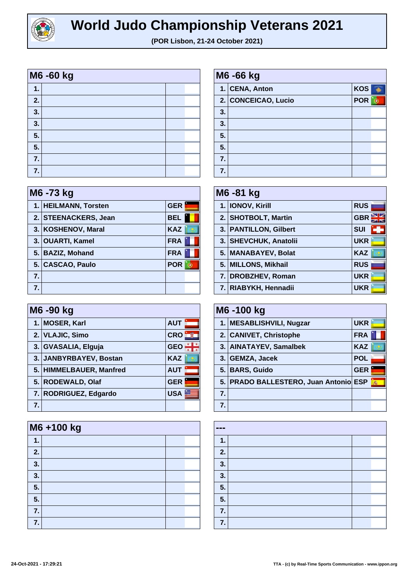

| M6 -60 kg |  |  |  |
|-----------|--|--|--|
| 1.        |  |  |  |
| 2.        |  |  |  |
| 3.        |  |  |  |
| 3.        |  |  |  |
| 5.        |  |  |  |
| 5.        |  |  |  |
| 7.        |  |  |  |
| 7.        |  |  |  |

|    | M6 -73 kg            |            |  |
|----|----------------------|------------|--|
|    | 1. HEILMANN, Torsten | <b>GER</b> |  |
|    | 2. STEENACKERS, Jean | <b>BEL</b> |  |
|    | 3. KOSHENOV, Maral   | <b>KAZ</b> |  |
|    | 3. OUARTI, Kamel     | <b>FRA</b> |  |
|    | 5. BAZIZ, Mohand     | <b>FRA</b> |  |
|    | 5. CASCAO, Paulo     | <b>POR</b> |  |
| 7. |                      |            |  |
| 7. |                      |            |  |

|    | M6 -90 kg               |            |  |
|----|-------------------------|------------|--|
|    | 1. MOSER, Karl          | <b>AUT</b> |  |
|    | 2. VLAJIC, Simo         | <b>CRO</b> |  |
|    | 3. GVASALIA, Elguja     | <b>GEO</b> |  |
|    | 3. JANBYRBAYEV, Bostan  | <b>KAZ</b> |  |
|    | 5. HIMMELBAUER, Manfred | <b>AUT</b> |  |
|    | 5. RODEWALD, Olaf       | <b>GER</b> |  |
|    | 7. RODRIGUEZ, Edgardo   | <b>USA</b> |  |
| 7. |                         |            |  |

|    | M6+100 kg |  |  |
|----|-----------|--|--|
| 1. |           |  |  |
| 2. |           |  |  |
| 3. |           |  |  |
| 3. |           |  |  |
| 5. |           |  |  |
| 5. |           |  |  |
| 7. |           |  |  |
| 7. |           |  |  |

| M6 -66 kg |                     |            |  |
|-----------|---------------------|------------|--|
|           | 1. CENA, Anton      | <b>KOS</b> |  |
|           | 2. CONCEICAO, Lucio | <b>POR</b> |  |
| 3.        |                     |            |  |
| 3.        |                     |            |  |
| 5.        |                     |            |  |
| 5.        |                     |            |  |
| 7.        |                     |            |  |
| 7.        |                     |            |  |

| M6 -81 kg |                       |            |
|-----------|-----------------------|------------|
|           | 1.   IONOV, Kirill    | <b>RUS</b> |
|           | 2. SHOTBOLT, Martin   | <b>GBR</b> |
|           | 3. PANTILLON, Gilbert | <b>SUI</b> |
|           | 3. SHEVCHUK, Anatolii | <b>UKR</b> |
|           | 5. MANABAYEV, Bolat   | <b>KAZ</b> |
|           | 5. MILLONS, Mikhail   | <b>RUS</b> |
|           | 7. DROBZHEV, Roman    | <b>UKR</b> |
|           | 7. RIABYKH, Hennadii  | <b>UKR</b> |

| M6 -100 kg       |                                       |            |                        |
|------------------|---------------------------------------|------------|------------------------|
|                  | 1. MESABLISHVILI, Nugzar              | <b>UKR</b> |                        |
|                  | 2. CANIVET, Christophe                | <b>FRA</b> |                        |
|                  | 3. AINATAYEV, Samalbek                | <b>KAZ</b> |                        |
|                  | 3. GEMZA, Jacek                       | <b>POL</b> |                        |
|                  | 5. BARS, Guido                        | <b>GER</b> |                        |
|                  | 5. PRADO BALLESTERO, Juan Antonio ESP |            | $\sqrt{2} \frac{1}{2}$ |
| $\overline{7}$ . |                                       |            |                        |
|                  |                                       |            |                        |

| ---           |  |
|---------------|--|
| $\mathbf 1$ . |  |
| 2.            |  |
| 3.            |  |
| 3.            |  |
| 5.            |  |
| 5.            |  |
| 7.            |  |
| 7.            |  |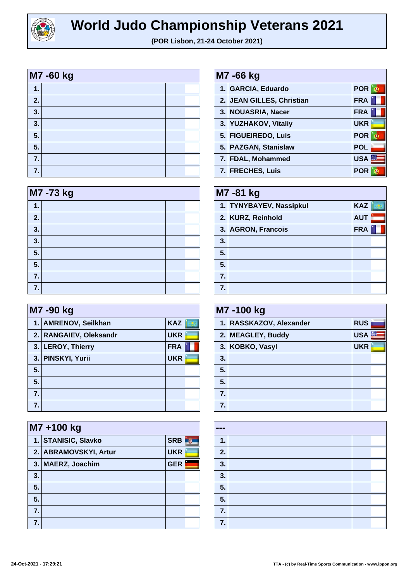

| $\mathbf 1$<br>2.<br>3.<br>3. | M7 -60 kg |  |  |  |
|-------------------------------|-----------|--|--|--|
|                               |           |  |  |  |
|                               |           |  |  |  |
|                               |           |  |  |  |
|                               |           |  |  |  |
| 5.                            |           |  |  |  |
| 5.                            |           |  |  |  |
| 7.                            |           |  |  |  |
| 7.                            |           |  |  |  |

| M7 -73 kg |  |  |  |
|-----------|--|--|--|
| 1.        |  |  |  |
| 2.        |  |  |  |
| 3.        |  |  |  |
| 3.        |  |  |  |
| 5.        |  |  |  |
| 5.        |  |  |  |
| 7.        |  |  |  |
| 7.        |  |  |  |

|    | M7 -90 kg              |            |  |
|----|------------------------|------------|--|
|    | 1. AMRENOV, Seilkhan   | <b>KAZ</b> |  |
|    | 2. RANGAIEV, Oleksandr | <b>UKR</b> |  |
|    | 3. LEROY, Thierry      | <b>FRA</b> |  |
|    | 3. PINSKYI, Yurii      | <b>UKR</b> |  |
| 5. |                        |            |  |
| 5. |                        |            |  |
| 7. |                        |            |  |
|    |                        |            |  |

|    | M7+100 kg             |            |  |
|----|-----------------------|------------|--|
|    | 1. STANISIC, Slavko   | <b>SRB</b> |  |
|    | 2. ABRAMOVSKYI, Artur | <b>UKR</b> |  |
|    | 3. MAERZ, Joachim     | <b>GER</b> |  |
| 3. |                       |            |  |
| 5. |                       |            |  |
| 5. |                       |            |  |
| 7. |                       |            |  |
| 7. |                       |            |  |

| M7 -66 kg |                           |            |
|-----------|---------------------------|------------|
|           | 1. GARCIA, Eduardo        | <b>POR</b> |
|           | 2. JEAN GILLES, Christian | <b>FRA</b> |
|           | 3. NOUASRIA, Nacer        | <b>FRA</b> |
|           | 3. YUZHAKOV, Vitaliy      | <b>UKR</b> |
|           | 5. FIGUEIREDO, Luis       | <b>POR</b> |
|           | 5. PAZGAN, Stanislaw      | <b>POL</b> |
|           | 7. FDAL, Mohammed         | <b>USA</b> |
|           | 7. FRECHES, Luis          | <b>POR</b> |

| M7-81 kg |                         |            |  |
|----------|-------------------------|------------|--|
|          | 1. TYNYBAYEV, Nassipkul | <b>KAZ</b> |  |
|          | 2. KURZ, Reinhold       | <b>AUT</b> |  |
|          | 3. AGRON, Francois      | <b>FRA</b> |  |
| 3.       |                         |            |  |
| 5.       |                         |            |  |
| 5.       |                         |            |  |
| 7.       |                         |            |  |
|          |                         |            |  |

| M7 -100 kg |                         |            |  |
|------------|-------------------------|------------|--|
|            | 1. RASSKAZOV, Alexander | <b>RUS</b> |  |
|            | 2. MEAGLEY, Buddy       | <b>USA</b> |  |
|            | 3. KOBKO, Vasyl         | <b>UKR</b> |  |
| 3.         |                         |            |  |
| 5.         |                         |            |  |
| 5.         |                         |            |  |
| 7.         |                         |            |  |
| 7.         |                         |            |  |

| $\frac{1}{2} \left( \frac{1}{2} \right) \left( \frac{1}{2} \right) \left( \frac{1}{2} \right) \left( \frac{1}{2} \right)$ |  |
|---------------------------------------------------------------------------------------------------------------------------|--|
| 1.                                                                                                                        |  |
| 2.                                                                                                                        |  |
| 3.                                                                                                                        |  |
| 3.                                                                                                                        |  |
| 5.                                                                                                                        |  |
| 5.                                                                                                                        |  |
| 7.                                                                                                                        |  |
| 7.                                                                                                                        |  |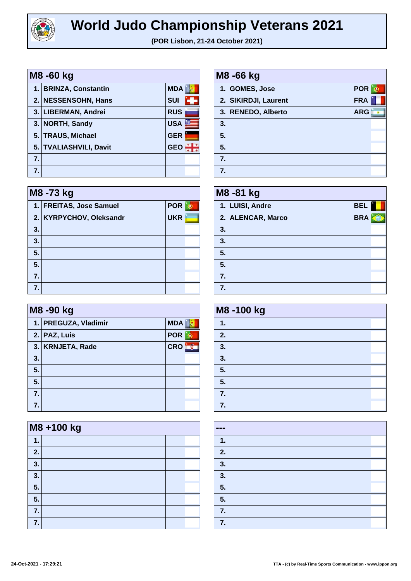

| M8 -60 kg        |                        |            |  |
|------------------|------------------------|------------|--|
|                  | 1. BRINZA, Constantin  | <b>MDA</b> |  |
|                  | 2. NESSENSOHN, Hans    | <b>SUI</b> |  |
|                  | 3. LIBERMAN, Andrei    | <b>RUS</b> |  |
|                  | 3. NORTH, Sandy        | <b>USA</b> |  |
| 5.1              | <b>TRAUS, Michael</b>  | <b>GER</b> |  |
|                  | 5. TVALIASHVILI, Davit | <b>GEO</b> |  |
| $\overline{7}$ . |                        |            |  |
| 7.               |                        |            |  |

| M8 -73 kg |                         |            |  |
|-----------|-------------------------|------------|--|
|           | 1. FREITAS, Jose Samuel | <b>POR</b> |  |
|           | 2. KYRPYCHOV, Oleksandr | <b>UKR</b> |  |
| 3.        |                         |            |  |
| 3.        |                         |            |  |
| 5.        |                         |            |  |
| 5.        |                         |            |  |
| 7.        |                         |            |  |
| 7.        |                         |            |  |

|    | M8 -90 kg            |            |  |  |
|----|----------------------|------------|--|--|
|    | 1. PREGUZA, Vladimir | <b>MDA</b> |  |  |
|    | 2. PAZ, Luis         | <b>POR</b> |  |  |
|    | 3. KRNJETA, Rade     | <b>CRO</b> |  |  |
| 3. |                      |            |  |  |
| 5. |                      |            |  |  |
| 5. |                      |            |  |  |
| 7. |                      |            |  |  |
| 7. |                      |            |  |  |

|    | M8 +100 kg |  |  |  |
|----|------------|--|--|--|
| 1. |            |  |  |  |
| 2. |            |  |  |  |
| 3. |            |  |  |  |
| 3. |            |  |  |  |
| 5. |            |  |  |  |
| 5. |            |  |  |  |
| 7. |            |  |  |  |
| 7. |            |  |  |  |

| M8 -66 kg |                      |            |  |
|-----------|----------------------|------------|--|
|           | 1. GOMES, Jose       | <b>POR</b> |  |
|           | 2. SIKIRDJI, Laurent | <b>FRA</b> |  |
|           | 3. RENEDO, Alberto   | <b>ARG</b> |  |
| 3.        |                      |            |  |
| 5.        |                      |            |  |
| 5.        |                      |            |  |
| 7.        |                      |            |  |
| 7.        |                      |            |  |

| M8-81 kg |                   |            |  |
|----------|-------------------|------------|--|
|          | 1. LUISI, Andre   | <b>BEL</b> |  |
|          | 2. ALENCAR, Marco | <b>BRA</b> |  |
| 3.       |                   |            |  |
| 3.       |                   |            |  |
| 5.       |                   |            |  |
| 5.       |                   |            |  |
| 7.       |                   |            |  |
| 7.       |                   |            |  |

| M8-100 kg |  |  |  |
|-----------|--|--|--|
| 1.        |  |  |  |
| 2.        |  |  |  |
| 3.        |  |  |  |
| 3.        |  |  |  |
| 5.        |  |  |  |
| 5.        |  |  |  |
| 7.        |  |  |  |
| 7.        |  |  |  |

| $\frac{1}{2} \left( \frac{1}{2} \right) \left( \frac{1}{2} \right) \left( \frac{1}{2} \right)$ |  |  |
|------------------------------------------------------------------------------------------------|--|--|
| 1.                                                                                             |  |  |
| 2.                                                                                             |  |  |
| 3.                                                                                             |  |  |
| 3 <sub>1</sub>                                                                                 |  |  |
| 5.                                                                                             |  |  |
| 5.                                                                                             |  |  |
| 7.                                                                                             |  |  |
| 7.                                                                                             |  |  |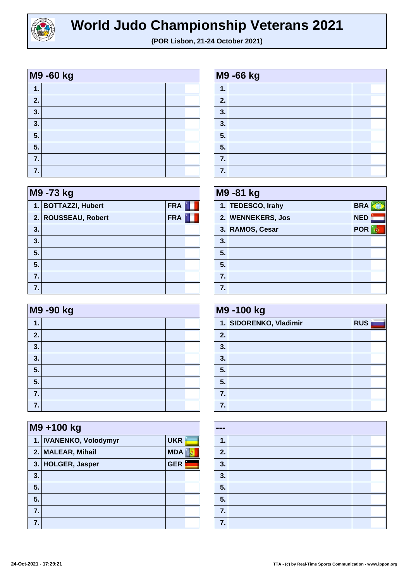

| M9 -60 kg   |  |  |  |
|-------------|--|--|--|
| $\mathbf 1$ |  |  |  |
| 2.          |  |  |  |
| 3.          |  |  |  |
| 3.          |  |  |  |
| 5.          |  |  |  |
| 5.          |  |  |  |
| 7.          |  |  |  |
| 7.          |  |  |  |

| M9 -73 kg |                     |            |  |
|-----------|---------------------|------------|--|
|           | 1. BOTTAZZI, Hubert | <b>FRA</b> |  |
|           | 2. ROUSSEAU, Robert | <b>FRA</b> |  |
| 3.        |                     |            |  |
| 3.        |                     |            |  |
| 5.        |                     |            |  |
| 5.        |                     |            |  |
| 7.        |                     |            |  |
| 7.        |                     |            |  |

|    | M9 -90 kg |  |  |  |
|----|-----------|--|--|--|
| 1. |           |  |  |  |
| 2. |           |  |  |  |
| 3. |           |  |  |  |
| 3. |           |  |  |  |
| 5. |           |  |  |  |
| 5. |           |  |  |  |
| 7. |           |  |  |  |
| 7. |           |  |  |  |

|    | M9+100 kg              |            |  |
|----|------------------------|------------|--|
|    | 1. IVANENKO, Volodymyr | <b>UKR</b> |  |
|    | 2. MALEAR, Mihail      | <b>MDA</b> |  |
|    | 3. HOLGER, Jasper      | <b>GER</b> |  |
| 3. |                        |            |  |
| 5. |                        |            |  |
| 5. |                        |            |  |
| 7. |                        |            |  |
| 7. |                        |            |  |

| M9 -66 kg |  |  |  |  |
|-----------|--|--|--|--|
| 1.        |  |  |  |  |
| 2.        |  |  |  |  |
| 3.        |  |  |  |  |
| 3.        |  |  |  |  |
| 5.        |  |  |  |  |
| 5.        |  |  |  |  |
| 7.        |  |  |  |  |
| 7.        |  |  |  |  |

|    | M9-81 kg          |            |  |  |
|----|-------------------|------------|--|--|
|    | 1. TEDESCO, Irahy | <b>BRA</b> |  |  |
|    | 2. WENNEKERS, Jos | <b>NED</b> |  |  |
|    | 3. RAMOS, Cesar   | <b>POR</b> |  |  |
| 3. |                   |            |  |  |
| 5. |                   |            |  |  |
| 5. |                   |            |  |  |
| 7. |                   |            |  |  |
|    |                   |            |  |  |

| M9-100 kg |                        |            |  |
|-----------|------------------------|------------|--|
|           | 1. SIDORENKO, Vladimir | <b>RUS</b> |  |
| 2.        |                        |            |  |
| 3.        |                        |            |  |
| 3.        |                        |            |  |
| 5.        |                        |            |  |
| 5.        |                        |            |  |
| 7.        |                        |            |  |
| 7.        |                        |            |  |

| $\qquad \qquad \blacksquare$ |  |  |
|------------------------------|--|--|
| 1.                           |  |  |
| 2.                           |  |  |
| 3.                           |  |  |
| 3.                           |  |  |
| 5.                           |  |  |
| 5.                           |  |  |
| 7.                           |  |  |
| 7.                           |  |  |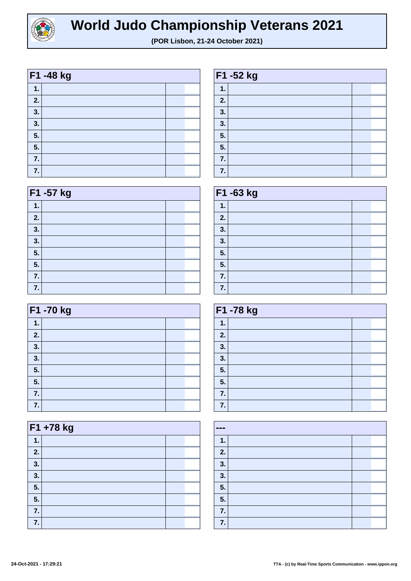

|    | F1 -48 kg |  |
|----|-----------|--|
| 1. |           |  |
| 2. |           |  |
| 3. |           |  |
| 3. |           |  |
| 5. |           |  |
| 5. |           |  |
| 7. |           |  |
| 7. |           |  |

| F1 -57 kg |  |  |  |
|-----------|--|--|--|
| 1.        |  |  |  |
| 2.        |  |  |  |
| 3.        |  |  |  |
| 3.        |  |  |  |
| 5.        |  |  |  |
| 5.        |  |  |  |
| 7.        |  |  |  |
| 7.        |  |  |  |

| F1 -70 kg |  |  |  |  |
|-----------|--|--|--|--|
| 1.        |  |  |  |  |
| 2.        |  |  |  |  |
| 3.        |  |  |  |  |
| 3.        |  |  |  |  |
| 5.        |  |  |  |  |
| 5.        |  |  |  |  |
| 7.        |  |  |  |  |
| 7.        |  |  |  |  |

| F1 +78 kg |  |  |  |
|-----------|--|--|--|
| 1.        |  |  |  |
| 2.        |  |  |  |
| 3.        |  |  |  |
| 3.        |  |  |  |
| 5.        |  |  |  |
| 5.        |  |  |  |
| 7.        |  |  |  |
| 7.        |  |  |  |

| F1 -52 kg     |  |  |  |
|---------------|--|--|--|
| $\mathbf 1$ . |  |  |  |
| 2.            |  |  |  |
| 3.            |  |  |  |
| 3.            |  |  |  |
| 5.            |  |  |  |
| 5.            |  |  |  |
| 7.            |  |  |  |
| 7.            |  |  |  |

| F1 -63 kg |  |  |  |  |
|-----------|--|--|--|--|
| 1.        |  |  |  |  |
| 2.        |  |  |  |  |
| 3.        |  |  |  |  |
| 3.        |  |  |  |  |
| 5.        |  |  |  |  |
| 5.        |  |  |  |  |
| 7.        |  |  |  |  |
| 7.        |  |  |  |  |

| F1 -78 kg |  |  |  |
|-----------|--|--|--|
| 1.        |  |  |  |
| 2.        |  |  |  |
| 3.        |  |  |  |
| 3.        |  |  |  |
| 5.        |  |  |  |
| 5.        |  |  |  |
| 7.        |  |  |  |
| 7.        |  |  |  |

| --- |  |
|-----|--|
| 1.  |  |
| 2.  |  |
| 3.  |  |
| 3.  |  |
| 5.  |  |
| 5.  |  |
| 7.  |  |
| 7.  |  |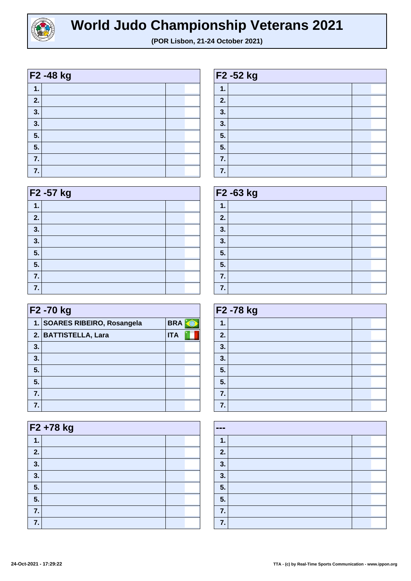

| F2 -48 kg |  |  |  |
|-----------|--|--|--|
| 1.        |  |  |  |
| 2.        |  |  |  |
| 3.        |  |  |  |
| 3.        |  |  |  |
| 5.        |  |  |  |
| 5.        |  |  |  |
| 7.        |  |  |  |
| 7.        |  |  |  |

| F <sub>2</sub> - 57 kg |  |  |  |  |
|------------------------|--|--|--|--|
| 1.                     |  |  |  |  |
| 2.                     |  |  |  |  |
| 3.                     |  |  |  |  |
| 3.                     |  |  |  |  |
| 5.                     |  |  |  |  |
| 5.                     |  |  |  |  |
| 7.                     |  |  |  |  |
| 7.                     |  |  |  |  |

| F2 -70 kg |                              |            |  |
|-----------|------------------------------|------------|--|
|           | 1. SOARES RIBEIRO, Rosangela | <b>BRA</b> |  |
|           | 2. BATTISTELLA, Lara         | <b>ITA</b> |  |
| 3.        |                              |            |  |
| 3.        |                              |            |  |
| 5.        |                              |            |  |
| 5.        |                              |            |  |
| 7.        |                              |            |  |
|           |                              |            |  |

| F2 +78 kg |  |  |  |  |
|-----------|--|--|--|--|
| 1.        |  |  |  |  |
| 2.        |  |  |  |  |
| 3.        |  |  |  |  |
| 3.        |  |  |  |  |
| 5.        |  |  |  |  |
| 5.        |  |  |  |  |
| 7.        |  |  |  |  |
| 7.        |  |  |  |  |

| F2 -52 kg |  |  |  |
|-----------|--|--|--|
| 1.        |  |  |  |
| 2.        |  |  |  |
| 3.        |  |  |  |
| 3.        |  |  |  |
| 5.        |  |  |  |
| 5.        |  |  |  |
| 7.        |  |  |  |
| 7.        |  |  |  |

| F <sub>2</sub> -63 kg |  |  |  |
|-----------------------|--|--|--|
| 1.                    |  |  |  |
| 2.                    |  |  |  |
| 3.                    |  |  |  |
| 3.                    |  |  |  |
| 5.                    |  |  |  |
| 5.                    |  |  |  |
| 7.                    |  |  |  |
| 7.                    |  |  |  |

| F2 -78 kg |  |  |  |
|-----------|--|--|--|
| 1.        |  |  |  |
| 2.        |  |  |  |
| 3.        |  |  |  |
| 3.        |  |  |  |
| 5.        |  |  |  |
| 5.        |  |  |  |
| 7.        |  |  |  |
| 7.        |  |  |  |

| $\qquad \qquad \blacksquare$ |  |  |  |
|------------------------------|--|--|--|
| 1.                           |  |  |  |
| 2.                           |  |  |  |
| 3.                           |  |  |  |
| 3.                           |  |  |  |
| 5.                           |  |  |  |
| 5.                           |  |  |  |
| 7.                           |  |  |  |
| 7.                           |  |  |  |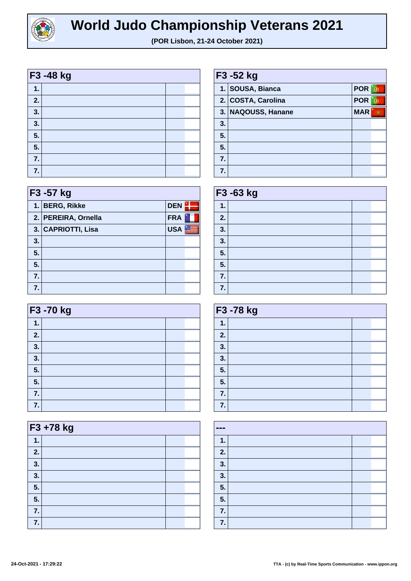

|    | F3 -48 kg |  |
|----|-----------|--|
| 1. |           |  |
| 2. |           |  |
| 3. |           |  |
| 3. |           |  |
| 5. |           |  |
| 5. |           |  |
| 7. |           |  |
| 7. |           |  |

|    | F3 -57 kg           |            |  |  |
|----|---------------------|------------|--|--|
|    | 1. BERG, Rikke      | <b>DEN</b> |  |  |
|    | 2. PEREIRA, Ornella | <b>FRA</b> |  |  |
|    | 3. CAPRIOTTI, Lisa  | <b>USA</b> |  |  |
| 3. |                     |            |  |  |
| 5. |                     |            |  |  |
| 5. |                     |            |  |  |
| 7. |                     |            |  |  |
| 7. |                     |            |  |  |

| F3 -70 kg |  |  |  |
|-----------|--|--|--|
| 1.        |  |  |  |
| 2.        |  |  |  |
| 3.        |  |  |  |
| 3.        |  |  |  |
| 5.        |  |  |  |
| 5.        |  |  |  |
| 7.        |  |  |  |
| 7.        |  |  |  |

| F3 +78 kg |  |  |  |
|-----------|--|--|--|
| 1.        |  |  |  |
| 2.        |  |  |  |
| 3.        |  |  |  |
| 3.        |  |  |  |
| 5.        |  |  |  |
| 5.        |  |  |  |
| 7.        |  |  |  |
| 7.        |  |  |  |

| F3 -52 kg        |                    |            |   |
|------------------|--------------------|------------|---|
|                  | 1. SOUSA, Bianca   | <b>POR</b> |   |
|                  | 2. COSTA, Carolina | <b>POR</b> |   |
|                  | 3. NAQOUSS, Hanane | <b>MAR</b> | ŵ |
| 3.               |                    |            |   |
| 5.               |                    |            |   |
| 5.               |                    |            |   |
| $\overline{7}$ . |                    |            |   |
| 7.               |                    |            |   |

| F3 -63 kg |  |  |  |
|-----------|--|--|--|
| 1.        |  |  |  |
| 2.        |  |  |  |
| 3.        |  |  |  |
| 3.        |  |  |  |
| 5.        |  |  |  |
| 5.        |  |  |  |
| 7.        |  |  |  |
| 7.        |  |  |  |

| F3 -78 kg |  |  |  |
|-----------|--|--|--|
| 1.        |  |  |  |
| 2.        |  |  |  |
| 3.        |  |  |  |
| 3.        |  |  |  |
| 5.        |  |  |  |
| 5.        |  |  |  |
| 7.        |  |  |  |
| 7.        |  |  |  |

| --- |  |  |
|-----|--|--|
| 1.  |  |  |
| 2.  |  |  |
| 3.  |  |  |
| 3.  |  |  |
| 5.  |  |  |
| 5.  |  |  |
| 7.  |  |  |
| 7.  |  |  |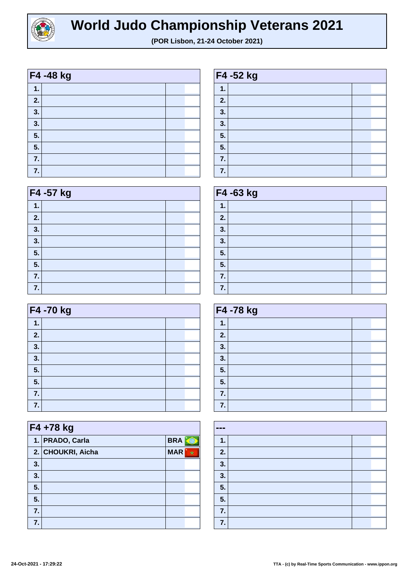

| F4 -48 kg |  |  |  |
|-----------|--|--|--|
| 1.        |  |  |  |
| 2.        |  |  |  |
| 3.        |  |  |  |
| 3.        |  |  |  |
| 5.        |  |  |  |
| 5.        |  |  |  |
| 7.        |  |  |  |
| 7.        |  |  |  |

| F4 -57 kg |  |  |  |  |
|-----------|--|--|--|--|
| 1.        |  |  |  |  |
| 2.        |  |  |  |  |
| 3.        |  |  |  |  |
| 3.        |  |  |  |  |
| 5.        |  |  |  |  |
| 5.        |  |  |  |  |
| 7.        |  |  |  |  |
| 7.        |  |  |  |  |

| F4 -70 kg |  |  |  |  |
|-----------|--|--|--|--|
| 1.        |  |  |  |  |
| 2.        |  |  |  |  |
| 3.        |  |  |  |  |
| 3.        |  |  |  |  |
| 5.        |  |  |  |  |
| 5.        |  |  |  |  |
| 7.        |  |  |  |  |
| 7.        |  |  |  |  |

| F4+78 kg |                   |            |  |  |
|----------|-------------------|------------|--|--|
|          | 1. PRADO, Carla   | <b>BRA</b> |  |  |
|          | 2. CHOUKRI, Aicha | <b>MAR</b> |  |  |
| 3.       |                   |            |  |  |
| 3.       |                   |            |  |  |
| 5.       |                   |            |  |  |
| 5.       |                   |            |  |  |
| 7.       |                   |            |  |  |
| 7.       |                   |            |  |  |

| F4 -52 kg |  |  |  |
|-----------|--|--|--|
| 1.        |  |  |  |
| 2.        |  |  |  |
| 3.        |  |  |  |
| 3.        |  |  |  |
| 5.        |  |  |  |
| 5.        |  |  |  |
| 7.        |  |  |  |
| 7.        |  |  |  |

| F4 -63 kg |  |  |  |
|-----------|--|--|--|
| 1.        |  |  |  |
| 2.        |  |  |  |
| 3.        |  |  |  |
| 3.        |  |  |  |
| 5.        |  |  |  |
| 5.        |  |  |  |
| 7.        |  |  |  |
| 7.        |  |  |  |

| F4 -78 kg |  |  |  |
|-----------|--|--|--|
| 1.        |  |  |  |
| 2.        |  |  |  |
| 3.        |  |  |  |
| 3.        |  |  |  |
| 5.        |  |  |  |
| 5.        |  |  |  |
| 7.        |  |  |  |
| 7.        |  |  |  |

| --- |  |
|-----|--|
| 1.  |  |
| 2.  |  |
| 3.  |  |
| 3.  |  |
| 5.  |  |
| 5.  |  |
| 7.  |  |
| 7.  |  |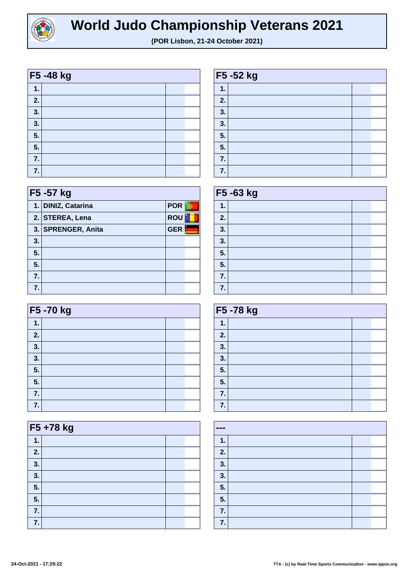

**F5 -52 kg**

**1.**

|             | F5-48 kg |  |
|-------------|----------|--|
| $\mathbf 1$ |          |  |
| 2.          |          |  |
| 3.          |          |  |
| 3.          |          |  |
| 5.          |          |  |
| 5.          |          |  |
| 7.          |          |  |
| 7.          |          |  |

| 2. |  |
|----|--|
| 3. |  |
| 3. |  |
| 5. |  |
| 5. |  |
| 7. |  |
| 7. |  |

| F5 -57 kg |                    |            |  |  |
|-----------|--------------------|------------|--|--|
|           | 1. DINIZ, Catarina | <b>POR</b> |  |  |
|           | 2. STEREA, Lena    | <b>ROU</b> |  |  |
|           | 3. SPRENGER, Anita | <b>GER</b> |  |  |
| 3.        |                    |            |  |  |
| 5.        |                    |            |  |  |
| 5.        |                    |            |  |  |
| 7.        |                    |            |  |  |
| 7.        |                    |            |  |  |

| F5 -70 kg |  |  |  |  |
|-----------|--|--|--|--|
| 1.        |  |  |  |  |
| 2.        |  |  |  |  |
| 3.        |  |  |  |  |
| 3.        |  |  |  |  |
| 5.        |  |  |  |  |
| 5.        |  |  |  |  |
| 7.        |  |  |  |  |
| 7.        |  |  |  |  |

|    | F5+78 kg |  |  |  |  |
|----|----------|--|--|--|--|
| 1. |          |  |  |  |  |
| 2. |          |  |  |  |  |
| 3. |          |  |  |  |  |
| 3. |          |  |  |  |  |
| 5. |          |  |  |  |  |
| 5. |          |  |  |  |  |
| 7. |          |  |  |  |  |
| 7. |          |  |  |  |  |

| F5 -63 kg      |  |  |  |  |
|----------------|--|--|--|--|
| 1.             |  |  |  |  |
| 2.             |  |  |  |  |
| 3 <sub>1</sub> |  |  |  |  |
| 3.             |  |  |  |  |
| 5.             |  |  |  |  |
| 5.             |  |  |  |  |
| 7.             |  |  |  |  |
| 7.             |  |  |  |  |

| F5-78 kg |  |  |  |
|----------|--|--|--|
| 1.       |  |  |  |
| 2.       |  |  |  |
| 3.       |  |  |  |
| 3.       |  |  |  |
| 5.       |  |  |  |
| 5.       |  |  |  |
| 7.       |  |  |  |
| 7.       |  |  |  |

| $\qquad \qquad \blacksquare$ |  |  |
|------------------------------|--|--|
| 1.                           |  |  |
| 2.                           |  |  |
| 3.                           |  |  |
| 3.                           |  |  |
| 5.                           |  |  |
| 5.                           |  |  |
| 7.                           |  |  |
| 7.                           |  |  |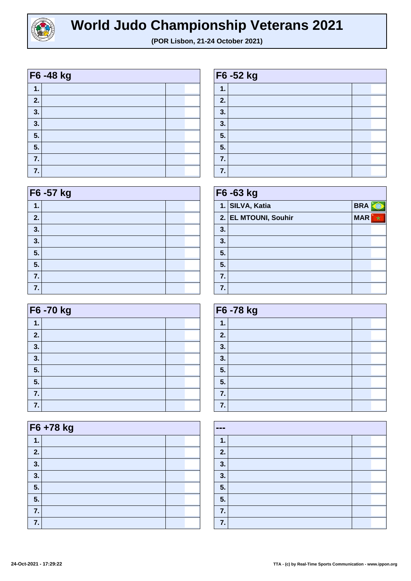

| F6 -48 kg |  |  |  |  |
|-----------|--|--|--|--|
| 1.        |  |  |  |  |
| 2.        |  |  |  |  |
| 3.        |  |  |  |  |
| 3.        |  |  |  |  |
| 5.        |  |  |  |  |
| 5.        |  |  |  |  |
| 7.        |  |  |  |  |
| 7.        |  |  |  |  |

| F6 - 57 kg |  |  |  |
|------------|--|--|--|
| 1.         |  |  |  |
| 2.         |  |  |  |
| 3.         |  |  |  |
| 3.         |  |  |  |
| 5.         |  |  |  |
| 5.         |  |  |  |
| 7.         |  |  |  |
| 7.         |  |  |  |

|    | F6 -70 kg |  |  |  |  |
|----|-----------|--|--|--|--|
| 1. |           |  |  |  |  |
| 2. |           |  |  |  |  |
| 3. |           |  |  |  |  |
| 3. |           |  |  |  |  |
| 5. |           |  |  |  |  |
| 5. |           |  |  |  |  |
| 7. |           |  |  |  |  |
| 7. |           |  |  |  |  |

| F6+78 kg |  |  |  |
|----------|--|--|--|
| 1.       |  |  |  |
| 2.       |  |  |  |
| 3.       |  |  |  |
| 3.       |  |  |  |
| 5.       |  |  |  |
| 5.       |  |  |  |
| 7.       |  |  |  |
| 7.       |  |  |  |

| F6 -52 kg |  |  |  |  |
|-----------|--|--|--|--|
| 1.        |  |  |  |  |
| 2.        |  |  |  |  |
| 3.        |  |  |  |  |
| 3.        |  |  |  |  |
| 5.        |  |  |  |  |
| 5.        |  |  |  |  |
| 7.        |  |  |  |  |
| 7.        |  |  |  |  |

| F6 -63 kg |                      |            |   |
|-----------|----------------------|------------|---|
|           | 1. SILVA, Katia      | <b>BRA</b> |   |
|           | 2. EL MTOUNI, Souhir | <b>MAR</b> | ÷ |
| 3.        |                      |            |   |
| 3.        |                      |            |   |
| 5.        |                      |            |   |
| 5.        |                      |            |   |
| 7.        |                      |            |   |
| 7.        |                      |            |   |

| F6-78 kg |  |  |  |
|----------|--|--|--|
| 1.       |  |  |  |
| 2.       |  |  |  |
| 3.       |  |  |  |
| 3.       |  |  |  |
| 5.       |  |  |  |
| 5.       |  |  |  |
| 7.       |  |  |  |
| 7.       |  |  |  |

| $\qquad \qquad \blacksquare$ |  |  |
|------------------------------|--|--|
| 1.                           |  |  |
| 2.                           |  |  |
| 3.                           |  |  |
| 3.                           |  |  |
| 5.                           |  |  |
| 5.                           |  |  |
| 7.                           |  |  |
| 7.                           |  |  |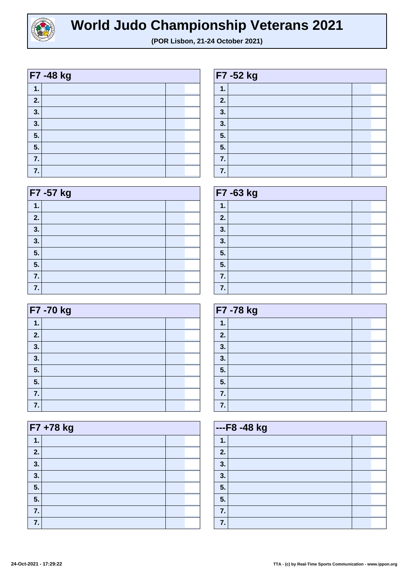

| F7 -48 kg |  |  |  |
|-----------|--|--|--|
| 1.        |  |  |  |
| 2.        |  |  |  |
| 3.        |  |  |  |
| 3.        |  |  |  |
| 5.        |  |  |  |
| 5.        |  |  |  |
| 7.        |  |  |  |
| 7.        |  |  |  |

| F7 -57 kg |  |  |  |
|-----------|--|--|--|
| 1.        |  |  |  |
| 2.        |  |  |  |
| 3.        |  |  |  |
| 3.        |  |  |  |
| 5.        |  |  |  |
| 5.        |  |  |  |
| 7.        |  |  |  |
| 7.        |  |  |  |

| F7 -70 kg |  |  |  |
|-----------|--|--|--|
| 1.        |  |  |  |
| 2.        |  |  |  |
| 3.        |  |  |  |
| 3.        |  |  |  |
| 5.        |  |  |  |
| 5.        |  |  |  |
| 7.        |  |  |  |
| 7.        |  |  |  |

| F7 +78 kg |  |  |
|-----------|--|--|
| 1.        |  |  |
| 2.        |  |  |
| 3.        |  |  |
| 3.        |  |  |
| 5.        |  |  |
| 5.        |  |  |
| 7.        |  |  |
| 7.        |  |  |

| F7 -52 kg |  |  |  |
|-----------|--|--|--|
| 1.        |  |  |  |
| 2.        |  |  |  |
| 3.        |  |  |  |
| 3.        |  |  |  |
| 5.        |  |  |  |
| 5.        |  |  |  |
| 7.        |  |  |  |
| 7.        |  |  |  |

| F7 -63 kg |  |  |
|-----------|--|--|
| 1.        |  |  |
| 2.        |  |  |
| 3.        |  |  |
| 3.        |  |  |
| 5.        |  |  |
| 5.        |  |  |
| 7.        |  |  |
| 7.        |  |  |

| F7-78 kg |  |  |  |
|----------|--|--|--|
| 1.       |  |  |  |
| 2.       |  |  |  |
| 3.       |  |  |  |
| 3.       |  |  |  |
| 5.       |  |  |  |
| 5.       |  |  |  |
| 7.       |  |  |  |
| 7.       |  |  |  |

| ---F8 -48 kg |  |  |  |
|--------------|--|--|--|
| 1.           |  |  |  |
| 2.           |  |  |  |
| 3.           |  |  |  |
| 3.           |  |  |  |
| 5.           |  |  |  |
| 5.           |  |  |  |
| 7.           |  |  |  |
| 7.           |  |  |  |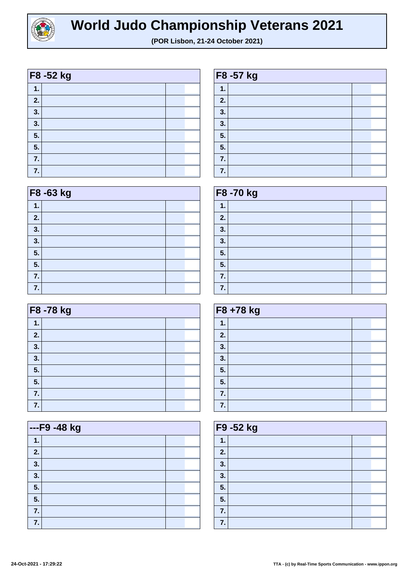

| F8 -52 kg |  |  |  |
|-----------|--|--|--|
| 1.        |  |  |  |
| 2.        |  |  |  |
| 3.        |  |  |  |
| 3.        |  |  |  |
| 5.        |  |  |  |
| 5.        |  |  |  |
| 7.        |  |  |  |
| 7.        |  |  |  |

| F8 -63 kg |  |  |  |
|-----------|--|--|--|
| 1.        |  |  |  |
| 2.        |  |  |  |
| 3.        |  |  |  |
| 3.        |  |  |  |
| 5.        |  |  |  |
| 5.        |  |  |  |
| 7.        |  |  |  |
| 7.        |  |  |  |

| F8 -78 kg |  |  |  |
|-----------|--|--|--|
| 1.        |  |  |  |
| 2.        |  |  |  |
| 3.        |  |  |  |
| 3.        |  |  |  |
| 5.        |  |  |  |
| 5.        |  |  |  |
| 7.        |  |  |  |
| 7.        |  |  |  |

|    | ---F9 -48 kg |  |  |
|----|--------------|--|--|
| 1. |              |  |  |
| 2. |              |  |  |
| 3. |              |  |  |
| 3. |              |  |  |
| 5. |              |  |  |
| 5. |              |  |  |
| 7. |              |  |  |
| 7. |              |  |  |

| F8 -57 kg |  |  |  |  |
|-----------|--|--|--|--|
| 1.        |  |  |  |  |
| 2.        |  |  |  |  |
| 3.        |  |  |  |  |
| 3.        |  |  |  |  |
| 5.        |  |  |  |  |
| 5.        |  |  |  |  |
| 7.        |  |  |  |  |
| 7.        |  |  |  |  |

| F8 -70 kg |  |  |  |
|-----------|--|--|--|
| 1.        |  |  |  |
| 2.        |  |  |  |
| 3.        |  |  |  |
| 3.        |  |  |  |
| 5.        |  |  |  |
| 5.        |  |  |  |
| 7.        |  |  |  |
| 7.        |  |  |  |

| F8 +78 kg |  |  |
|-----------|--|--|
| 1.        |  |  |
| 2.        |  |  |
| 3.        |  |  |
| 3.        |  |  |
| 5.        |  |  |
| 5.        |  |  |
| 7.        |  |  |
| 7.        |  |  |

| F9 -52 kg |  |  |  |  |
|-----------|--|--|--|--|
| 1.        |  |  |  |  |
| 2.        |  |  |  |  |
| 3.        |  |  |  |  |
| 3.        |  |  |  |  |
| 5.        |  |  |  |  |
| 5.        |  |  |  |  |
| 7.        |  |  |  |  |
| 7.        |  |  |  |  |